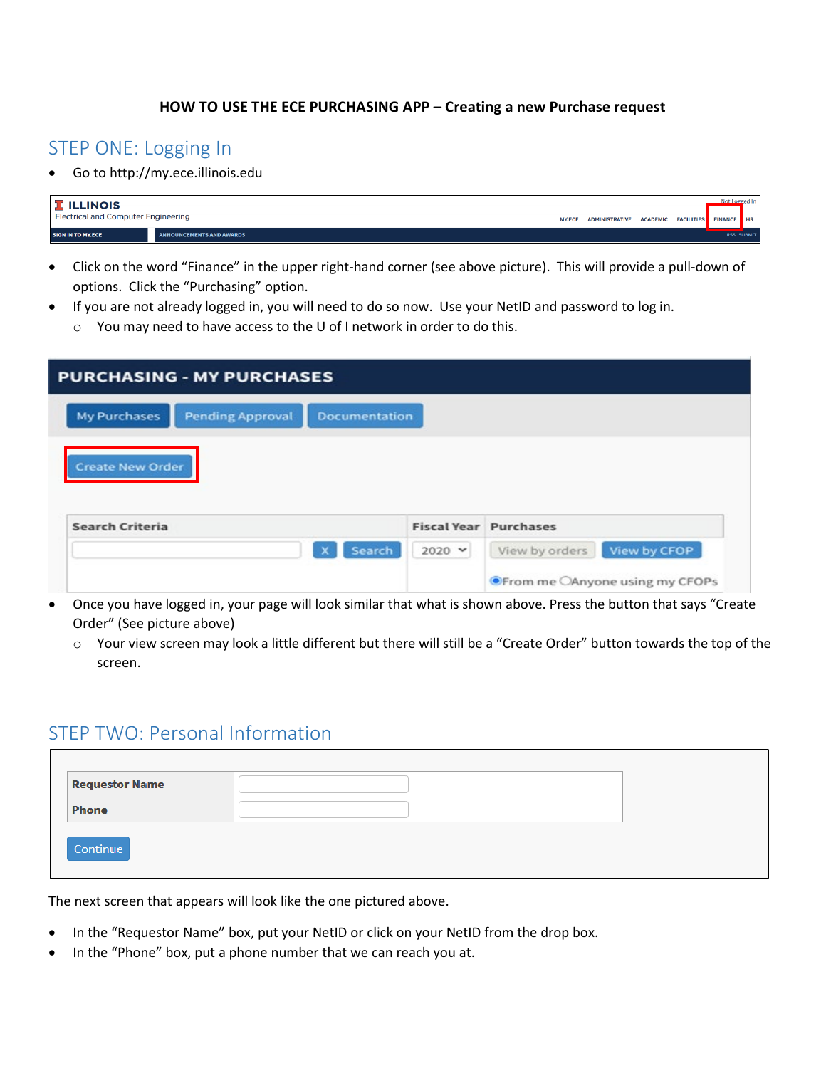#### **HOW TO USE THE ECE PURCHASING APP – Creating a new Purchase request**

### STEP ONE: Logging In

• Go to http://my.ece.illinois.edu

| <b>I</b> ILLINOIS<br><b>Electrical and Computer Engineering</b> |                                 | MY.ECE ADMINISTRATIVE ACADEMIC FACILITIES FINANCE HR |  | Not Logged In |                   |
|-----------------------------------------------------------------|---------------------------------|------------------------------------------------------|--|---------------|-------------------|
| <b>SIGN IN TO MY.ECE</b>                                        | <b>ANNOUNCEMENTS AND AWARDS</b> |                                                      |  |               | <b>RSS SUBMIT</b> |

- Click on the word "Finance" in the upper right-hand corner (see above picture). This will provide a pull-down of options. Click the "Purchasing" option.
- If you are not already logged in, you will need to do so now. Use your NetID and password to log in.
	- o You may need to have access to the U of I network in order to do this.

| <b>PURCHASING - MY PURCHASES</b>                                       |                 |                                |
|------------------------------------------------------------------------|-----------------|--------------------------------|
| <b>My Purchases</b><br><b>Pending Approval</b><br><b>Documentation</b> |                 |                                |
| <b>Create New Order</b>                                                |                 |                                |
|                                                                        |                 |                                |
| Search Criteria                                                        |                 | <b>Fiscal Year Purchases</b>   |
| Search                                                                 | $2020$ $\times$ | View by CFOP<br>View by orders |

- Once you have logged in, your page will look similar that what is shown above. Press the button that says "Create Order" (See picture above)
	- o Your view screen may look a little different but there will still be a "Create Order" button towards the top of the screen.

## STEP TWO: Personal Information

| <b>Requestor Name</b> |  |
|-----------------------|--|
| Phone                 |  |
|                       |  |
| Continue              |  |
|                       |  |

The next screen that appears will look like the one pictured above.

- In the "Requestor Name" box, put your NetID or click on your NetID from the drop box.
- In the "Phone" box, put a phone number that we can reach you at.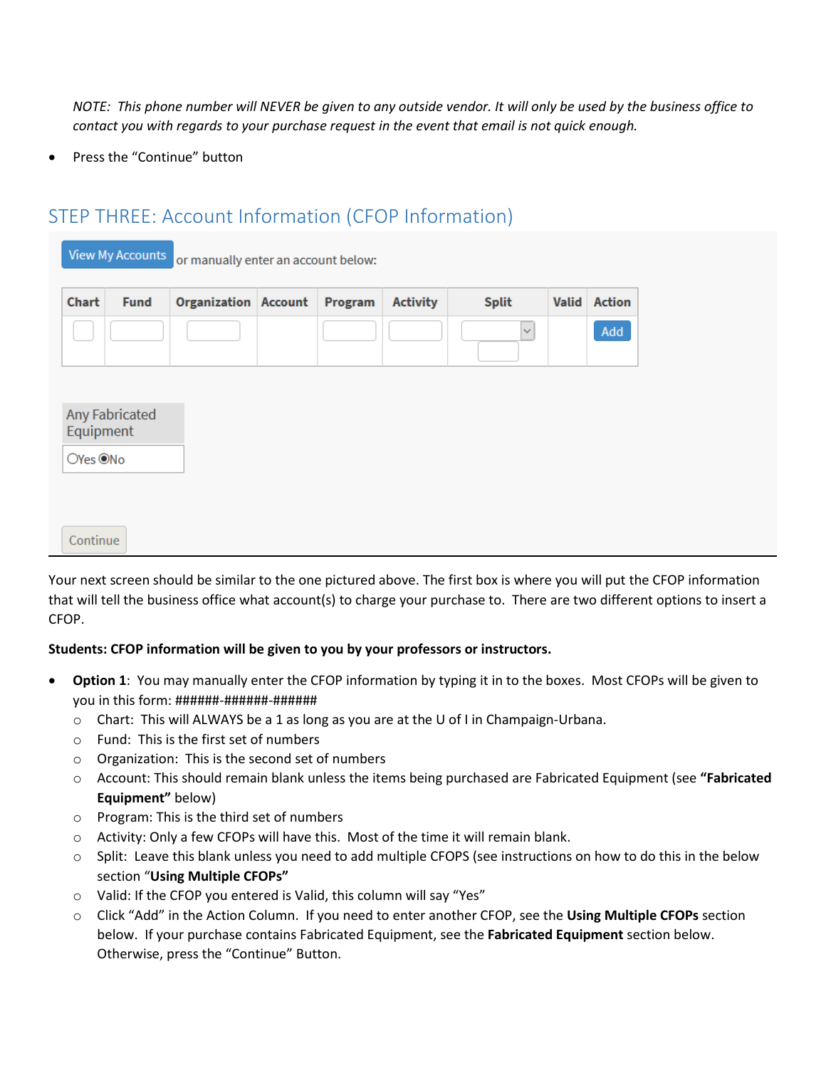*NOTE: This phone number will NEVER be given to any outside vendor. It will only be used by the business office to contact you with regards to your purchase request in the event that email is not quick enough.*

Press the "Continue" button

## STEP THREE: Account Information (CFOP Information)

|                       | <b>View My Accounts</b> | or manually enter an account below: |         |                 |              |              |               |
|-----------------------|-------------------------|-------------------------------------|---------|-----------------|--------------|--------------|---------------|
| Chart                 | <b>Fund</b>             | <b>Organization Account</b>         | Program | <b>Activity</b> | <b>Split</b> | <b>Valid</b> | <b>Action</b> |
|                       |                         |                                     |         |                 | $\checkmark$ |              | Add           |
| Equipment<br>OYes ONo | <b>Any Fabricated</b>   |                                     |         |                 |              |              |               |
| Continue              |                         |                                     |         |                 |              |              |               |

Your next screen should be similar to the one pictured above. The first box is where you will put the CFOP information that will tell the business office what account(s) to charge your purchase to. There are two different options to insert a CFOP.

### **Students: CFOP information will be given to you by your professors or instructors.**

- **Option 1**: You may manually enter the CFOP information by typing it in to the boxes. Most CFOPs will be given to you in this form: ######-######-######
	- $\circ$  Chart: This will ALWAYS be a 1 as long as you are at the U of I in Champaign-Urbana.
	- o Fund: This is the first set of numbers
	- o Organization: This is the second set of numbers
	- o Account: This should remain blank unless the items being purchased are Fabricated Equipment (see **"Fabricated Equipment"** below)
	- o Program: This is the third set of numbers
	- o Activity: Only a few CFOPs will have this. Most of the time it will remain blank.
	- o Split: Leave this blank unless you need to add multiple CFOPS (see instructions on how to do this in the below section "**Using Multiple CFOPs"**
	- o Valid: If the CFOP you entered is Valid, this column will say "Yes"
	- o Click "Add" in the Action Column. If you need to enter another CFOP, see the **Using Multiple CFOPs** section below. If your purchase contains Fabricated Equipment, see the **Fabricated Equipment** section below. Otherwise, press the "Continue" Button.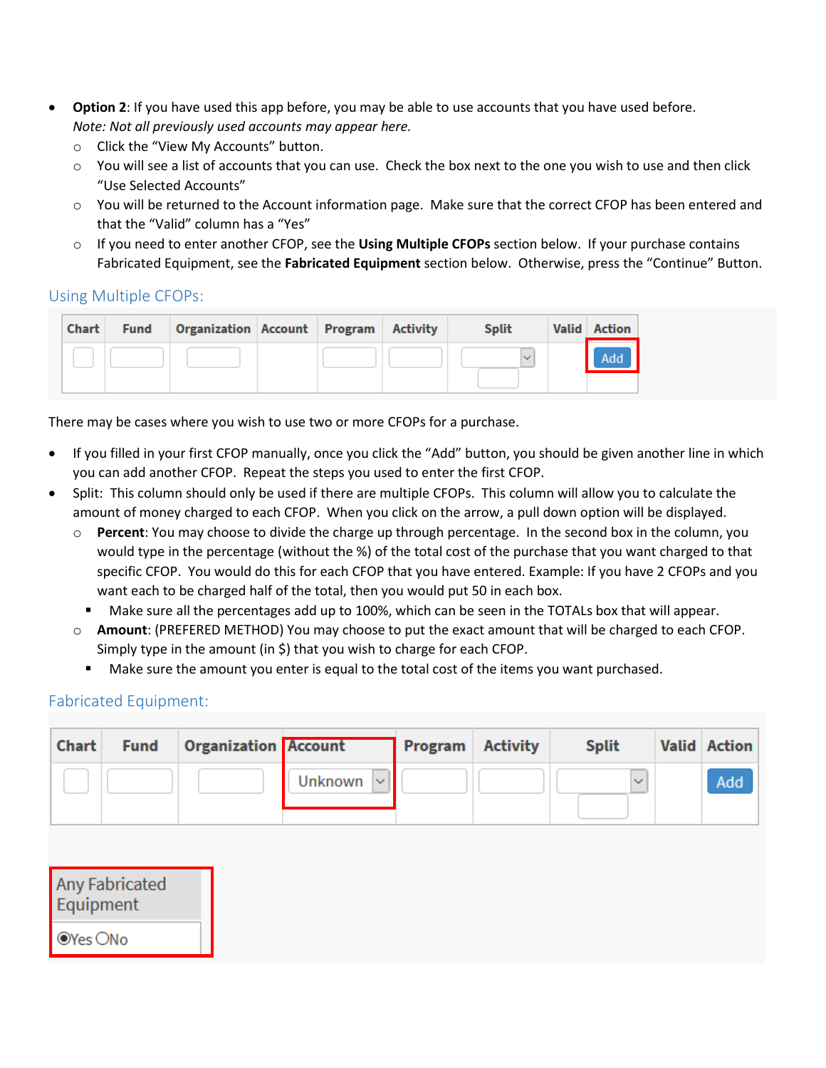- **Option 2**: If you have used this app before, you may be able to use accounts that you have used before. *Note: Not all previously used accounts may appear here.*
	- o Click the "View My Accounts" button.
	- $\circ$  You will see a list of accounts that you can use. Check the box next to the one you wish to use and then click "Use Selected Accounts"
	- o You will be returned to the Account information page. Make sure that the correct CFOP has been entered and that the "Valid" column has a "Yes"
	- o If you need to enter another CFOP, see the **Using Multiple CFOPs** section below. If your purchase contains Fabricated Equipment, see the **Fabricated Equipment** section below. Otherwise, press the "Continue" Button.

### Using Multiple CFOPs:

| Chart | <b>Fund</b> | Organization Account Program Activity |  | <b>Split</b> | <b>Valid</b> Action |
|-------|-------------|---------------------------------------|--|--------------|---------------------|
|       |             |                                       |  |              | Add                 |
|       |             |                                       |  |              |                     |

There may be cases where you wish to use two or more CFOPs for a purchase.

- If you filled in your first CFOP manually, once you click the "Add" button, you should be given another line in which you can add another CFOP. Repeat the steps you used to enter the first CFOP.
- Split: This column should only be used if there are multiple CFOPs. This column will allow you to calculate the amount of money charged to each CFOP. When you click on the arrow, a pull down option will be displayed.
	- o **Percent**: You may choose to divide the charge up through percentage. In the second box in the column, you would type in the percentage (without the %) of the total cost of the purchase that you want charged to that specific CFOP. You would do this for each CFOP that you have entered. Example: If you have 2 CFOPs and you want each to be charged half of the total, then you would put 50 in each box.
		- Make sure all the percentages add up to 100%, which can be seen in the TOTALs box that will appear.
	- o **Amount**: (PREFERED METHOD) You may choose to put the exact amount that will be charged to each CFOP. Simply type in the amount (in \$) that you wish to charge for each CFOP.
		- Make sure the amount you enter is equal to the total cost of the items you want purchased.

### Fabricated Equipment:

| Chart | <b>Fund</b> | <b>Organization Account</b> |                    | <b>Program</b> Activity | <b>Split</b> | <b>Valid Action</b> |
|-------|-------------|-----------------------------|--------------------|-------------------------|--------------|---------------------|
|       |             |                             | Unknown $ $ $\vee$ |                         | $\checkmark$ | <b>Add</b>          |

| <b>Any Fabricated</b><br>Equipment |
|------------------------------------|
| ● Yes ONo                          |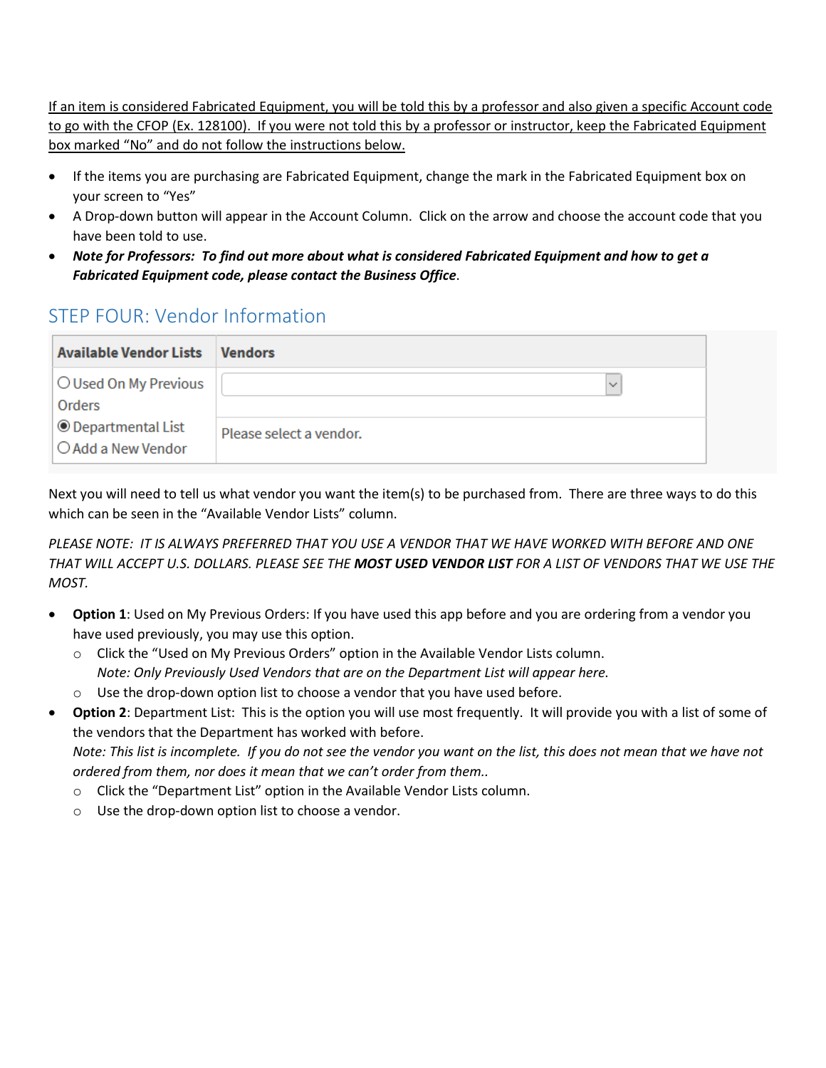If an item is considered Fabricated Equipment, you will be told this by a professor and also given a specific Account code to go with the CFOP (Ex. 128100). If you were not told this by a professor or instructor, keep the Fabricated Equipment box marked "No" and do not follow the instructions below.

- If the items you are purchasing are Fabricated Equipment, change the mark in the Fabricated Equipment box on your screen to "Yes"
- A Drop-down button will appear in the Account Column. Click on the arrow and choose the account code that you have been told to use.
- *Note for Professors: To find out more about what is considered Fabricated Equipment and how to get a Fabricated Equipment code, please contact the Business Office*.

## STEP FOUR: Vendor Information

| <b>Available Vendor Lists</b>                   | <b>Vendors</b>          |
|-------------------------------------------------|-------------------------|
| O Used On My Previous<br>Orders                 | $\checkmark$            |
| $\circ$ Departmental List<br>○ Add a New Vendor | Please select a vendor. |

Next you will need to tell us what vendor you want the item(s) to be purchased from. There are three ways to do this which can be seen in the "Available Vendor Lists" column.

*PLEASE NOTE: IT IS ALWAYS PREFERRED THAT YOU USE A VENDOR THAT WE HAVE WORKED WITH BEFORE AND ONE THAT WILL ACCEPT U.S. DOLLARS. PLEASE SEE THE MOST USED VENDOR LIST FOR A LIST OF VENDORS THAT WE USE THE MOST.*

- **Option 1**: Used on My Previous Orders: If you have used this app before and you are ordering from a vendor you have used previously, you may use this option.
	- o Click the "Used on My Previous Orders" option in the Available Vendor Lists column. *Note: Only Previously Used Vendors that are on the Department List will appear here.*
	- o Use the drop-down option list to choose a vendor that you have used before.
- **Option 2**: Department List: This is the option you will use most frequently. It will provide you with a list of some of the vendors that the Department has worked with before. *Note: This list is incomplete. If you do not see the vendor you want on the list, this does not mean that we have not*

*ordered from them, nor does it mean that we can't order from them..*

- o Click the "Department List" option in the Available Vendor Lists column.
- o Use the drop-down option list to choose a vendor.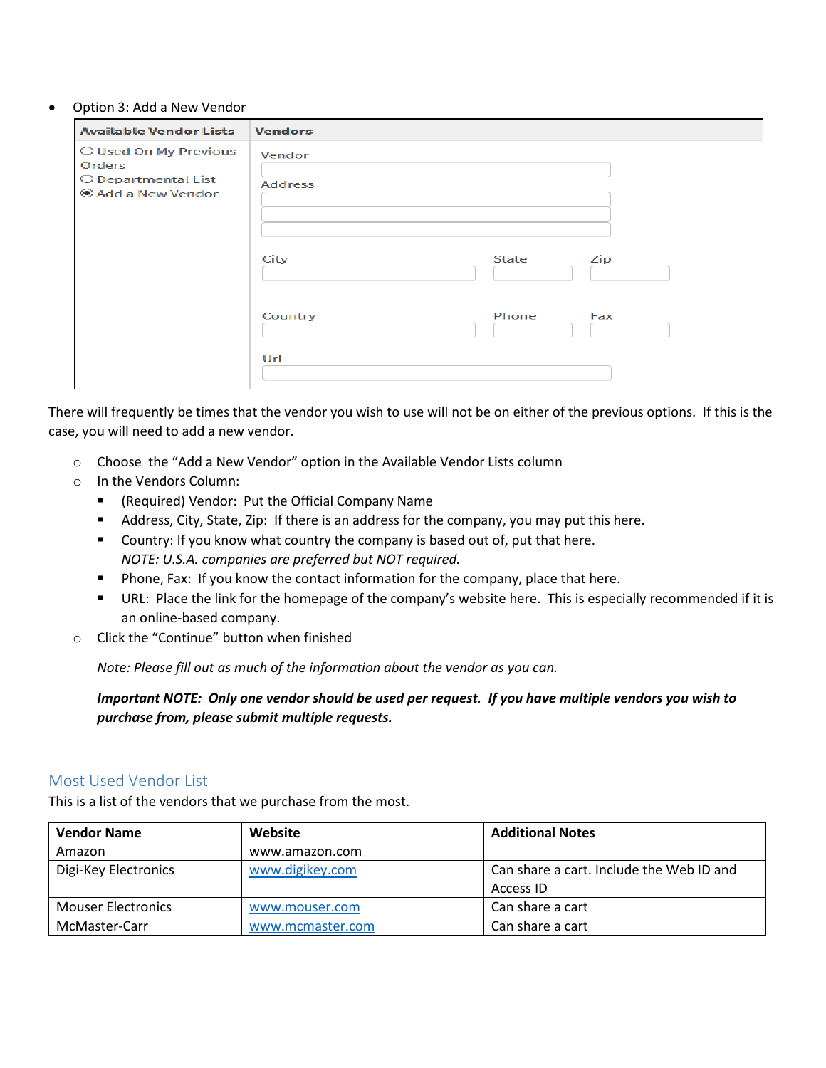#### • Option 3: Add a New Vendor

| <b>Available Vendor Lists</b>                                              | <b>Vendors</b>           |
|----------------------------------------------------------------------------|--------------------------|
| O Used On My Previous<br>Orders<br>O Departmental List<br>Add a New Vendor | Vendor<br><b>Address</b> |
|                                                                            | City<br>Zip<br>State     |
|                                                                            | Country<br>Phone<br>Fax  |
|                                                                            | Url                      |

There will frequently be times that the vendor you wish to use will not be on either of the previous options. If this is the case, you will need to add a new vendor.

- o Choose the "Add a New Vendor" option in the Available Vendor Lists column
- o In the Vendors Column:
	- (Required) Vendor: Put the Official Company Name
	- Address, City, State, Zip: If there is an address for the company, you may put this here.
	- **Country: If you know what country the company is based out of, put that here.** *NOTE: U.S.A. companies are preferred but NOT required.*
	- **Phone, Fax: If you know the contact information for the company, place that here.**
	- URL: Place the link for the homepage of the company's website here. This is especially recommended if it is an online-based company.
- o Click the "Continue" button when finished

*Note: Please fill out as much of the information about the vendor as you can.*

*Important NOTE: Only one vendor should be used per request. If you have multiple vendors you wish to purchase from, please submit multiple requests.*

### Most Used Vendor List

This is a list of the vendors that we purchase from the most.

| <b>Vendor Name</b>        | Website          | <b>Additional Notes</b>                  |
|---------------------------|------------------|------------------------------------------|
| Amazon                    | www.amazon.com   |                                          |
| Digi-Key Electronics      | www.digikey.com  | Can share a cart. Include the Web ID and |
|                           |                  | Access ID                                |
| <b>Mouser Electronics</b> | www.mouser.com   | Can share a cart                         |
| McMaster-Carr             | www.mcmaster.com | Can share a cart                         |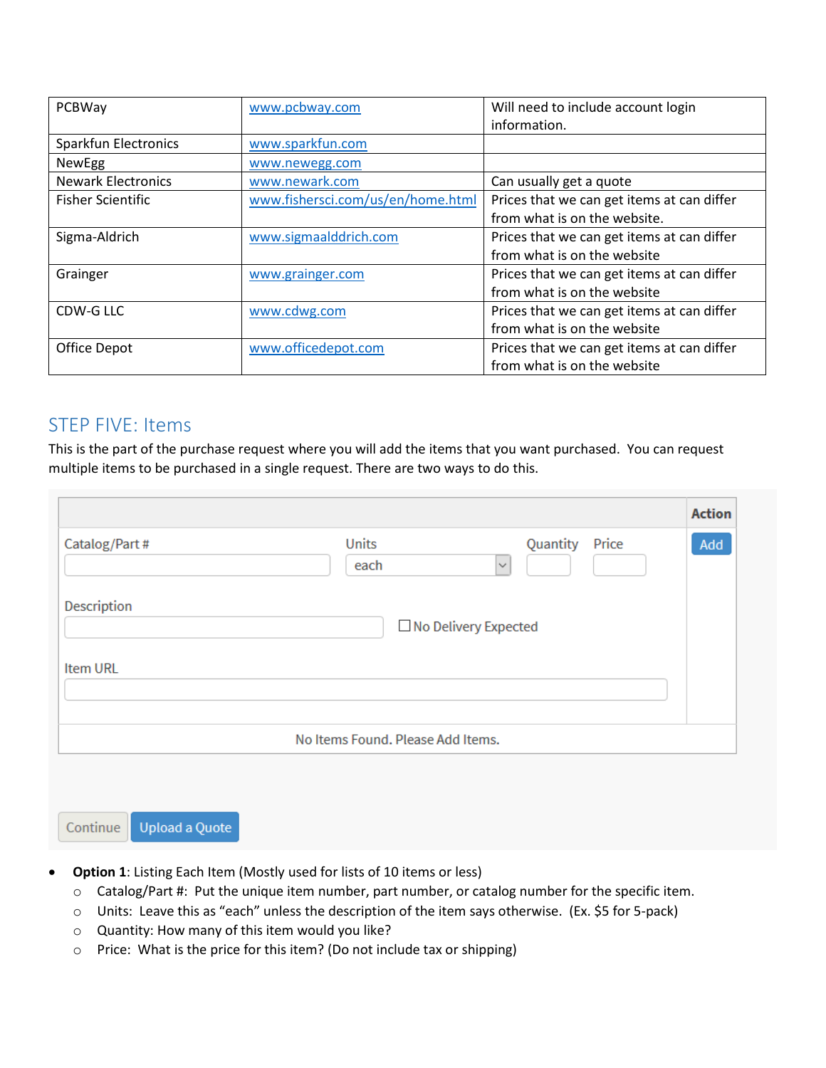| PCBWay                    | www.pcbway.com                    | Will need to include account login<br>information. |
|---------------------------|-----------------------------------|----------------------------------------------------|
| Sparkfun Electronics      | www.sparkfun.com                  |                                                    |
| NewEgg                    | www.newegg.com                    |                                                    |
| <b>Newark Electronics</b> | www.newark.com                    | Can usually get a quote                            |
| <b>Fisher Scientific</b>  | www.fishersci.com/us/en/home.html | Prices that we can get items at can differ         |
|                           |                                   | from what is on the website.                       |
| Sigma-Aldrich             | www.sigmaalddrich.com             | Prices that we can get items at can differ         |
|                           |                                   | from what is on the website                        |
| Grainger                  | www.grainger.com                  | Prices that we can get items at can differ         |
|                           |                                   | from what is on the website                        |
| CDW-G LLC                 | www.cdwg.com                      | Prices that we can get items at can differ         |
|                           |                                   | from what is on the website                        |
| Office Depot              | www.officedepot.com               | Prices that we can get items at can differ         |
|                           |                                   | from what is on the website                        |

## STEP FIVE: Items

This is the part of the purchase request where you will add the items that you want purchased. You can request multiple items to be purchased in a single request. There are two ways to do this.

|                 |                                   |                                   | <b>Action</b> |
|-----------------|-----------------------------------|-----------------------------------|---------------|
| Catalog/Part#   | Units<br>each                     | Quantity<br>Price<br>$\checkmark$ | Add           |
| Description     |                                   | □ No Delivery Expected            |               |
| <b>Item URL</b> |                                   |                                   |               |
|                 | No Items Found. Please Add Items. |                                   |               |

**Upload a Quote** Continue

- **Option 1**: Listing Each Item (Mostly used for lists of 10 items or less)
	- o Catalog/Part #: Put the unique item number, part number, or catalog number for the specific item.
	- o Units: Leave this as "each" unless the description of the item says otherwise. (Ex. \$5 for 5-pack)
	- o Quantity: How many of this item would you like?
	- o Price: What is the price for this item? (Do not include tax or shipping)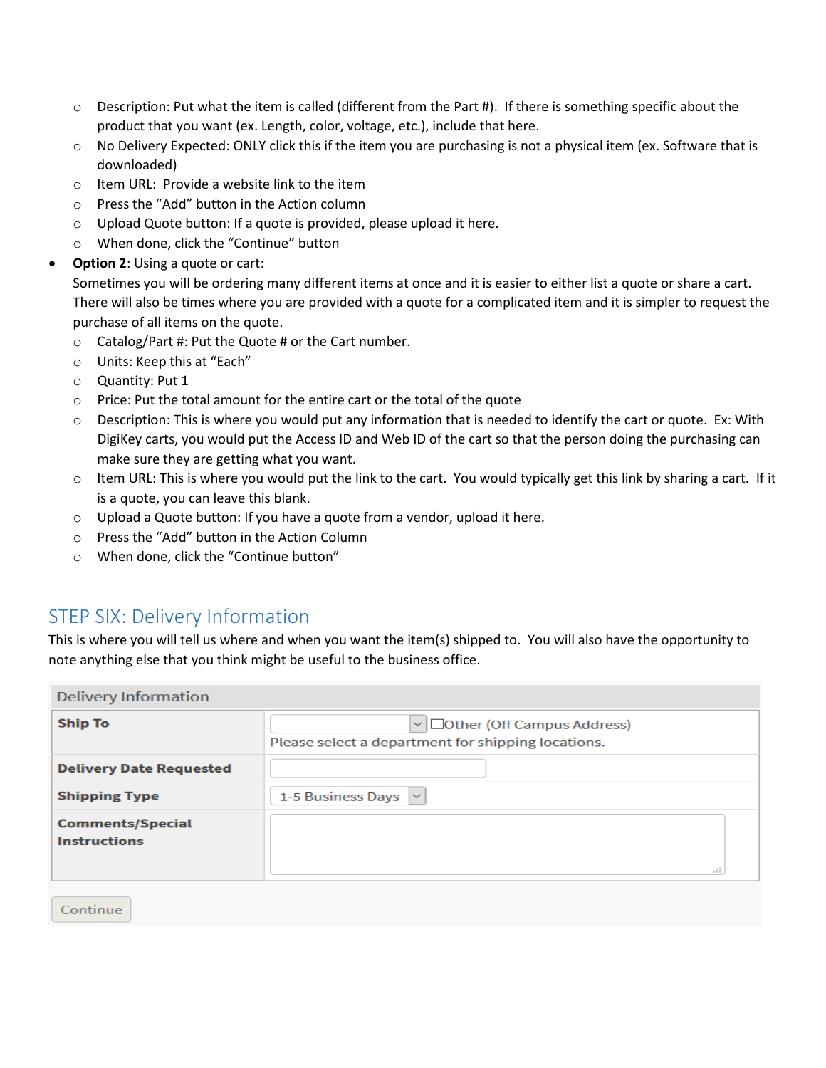- $\circ$  Description: Put what the item is called (different from the Part #). If there is something specific about the product that you want (ex. Length, color, voltage, etc.), include that here.
- o No Delivery Expected: ONLY click this if the item you are purchasing is not a physical item (ex. Software that is downloaded)
- o Item URL: Provide a website link to the item
- o Press the "Add" button in the Action column
- o Upload Quote button: If a quote is provided, please upload it here.
- o When done, click the "Continue" button
- **Option 2: Using a quote or cart:**

Sometimes you will be ordering many different items at once and it is easier to either list a quote or share a cart. There will also be times where you are provided with a quote for a complicated item and it is simpler to request the purchase of all items on the quote.

- o Catalog/Part #: Put the Quote # or the Cart number.
- o Units: Keep this at "Each"
- o Quantity: Put 1
- o Price: Put the total amount for the entire cart or the total of the quote
- $\circ$  Description: This is where you would put any information that is needed to identify the cart or quote. Ex: With DigiKey carts, you would put the Access ID and Web ID of the cart so that the person doing the purchasing can make sure they are getting what you want.
- $\circ$  Item URL: This is where you would put the link to the cart. You would typically get this link by sharing a cart. If it is a quote, you can leave this blank.
- o Upload a Quote button: If you have a quote from a vendor, upload it here.
- o Press the "Add" button in the Action Column
- o When done, click the "Continue button"

### STEP SIX: Delivery Information

This is where you will tell us where and when you want the item(s) shipped to. You will also have the opportunity to note anything else that you think might be useful to the business office.

| <b>Delivery Information</b>                    |                                                                                                |
|------------------------------------------------|------------------------------------------------------------------------------------------------|
| <b>Ship To</b>                                 | $\vee$ $\Box$ Other (Off Campus Address)<br>Please select a department for shipping locations. |
| <b>Delivery Date Requested</b>                 |                                                                                                |
| <b>Shipping Type</b>                           | 1-5 Business Days $\vert \vee$                                                                 |
| <b>Comments/Special</b><br><b>Instructions</b> | $\pm\frac{\pi}{2}$                                                                             |

Continue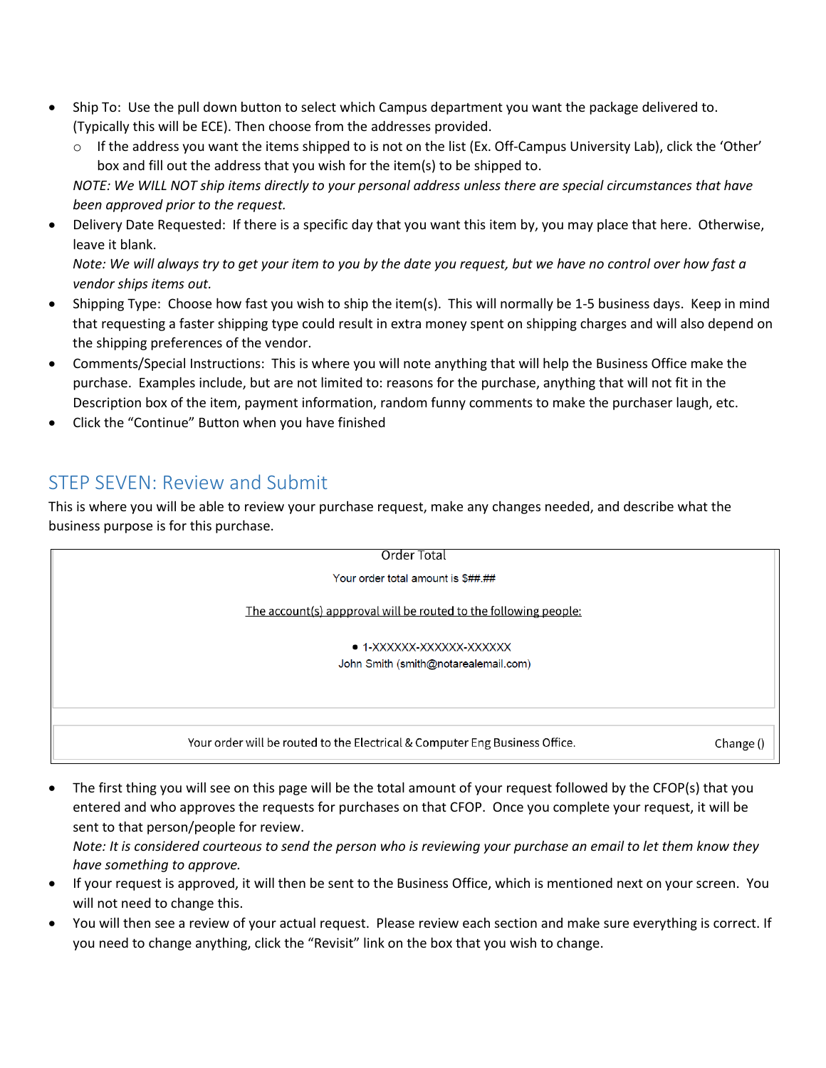- Ship To: Use the pull down button to select which Campus department you want the package delivered to. (Typically this will be ECE). Then choose from the addresses provided.
	- $\circ$  If the address you want the items shipped to is not on the list (Ex. Off-Campus University Lab), click the 'Other' box and fill out the address that you wish for the item(s) to be shipped to.

*NOTE: We WILL NOT ship items directly to your personal address unless there are special circumstances that have been approved prior to the request.*

• Delivery Date Requested: If there is a specific day that you want this item by, you may place that here. Otherwise, leave it blank.

*Note: We will always try to get your item to you by the date you request, but we have no control over how fast a vendor ships items out.*

- Shipping Type: Choose how fast you wish to ship the item(s). This will normally be 1-5 business days. Keep in mind that requesting a faster shipping type could result in extra money spent on shipping charges and will also depend on the shipping preferences of the vendor.
- Comments/Special Instructions: This is where you will note anything that will help the Business Office make the purchase. Examples include, but are not limited to: reasons for the purchase, anything that will not fit in the Description box of the item, payment information, random funny comments to make the purchaser laugh, etc.
- Click the "Continue" Button when you have finished

## STEP SEVEN: Review and Submit

This is where you will be able to review your purchase request, make any changes needed, and describe what the business purpose is for this purchase.



• The first thing you will see on this page will be the total amount of your request followed by the CFOP(s) that you entered and who approves the requests for purchases on that CFOP. Once you complete your request, it will be sent to that person/people for review.

*Note: It is considered courteous to send the person who is reviewing your purchase an email to let them know they have something to approve.*

- If your request is approved, it will then be sent to the Business Office, which is mentioned next on your screen. You will not need to change this.
- You will then see a review of your actual request. Please review each section and make sure everything is correct. If you need to change anything, click the "Revisit" link on the box that you wish to change.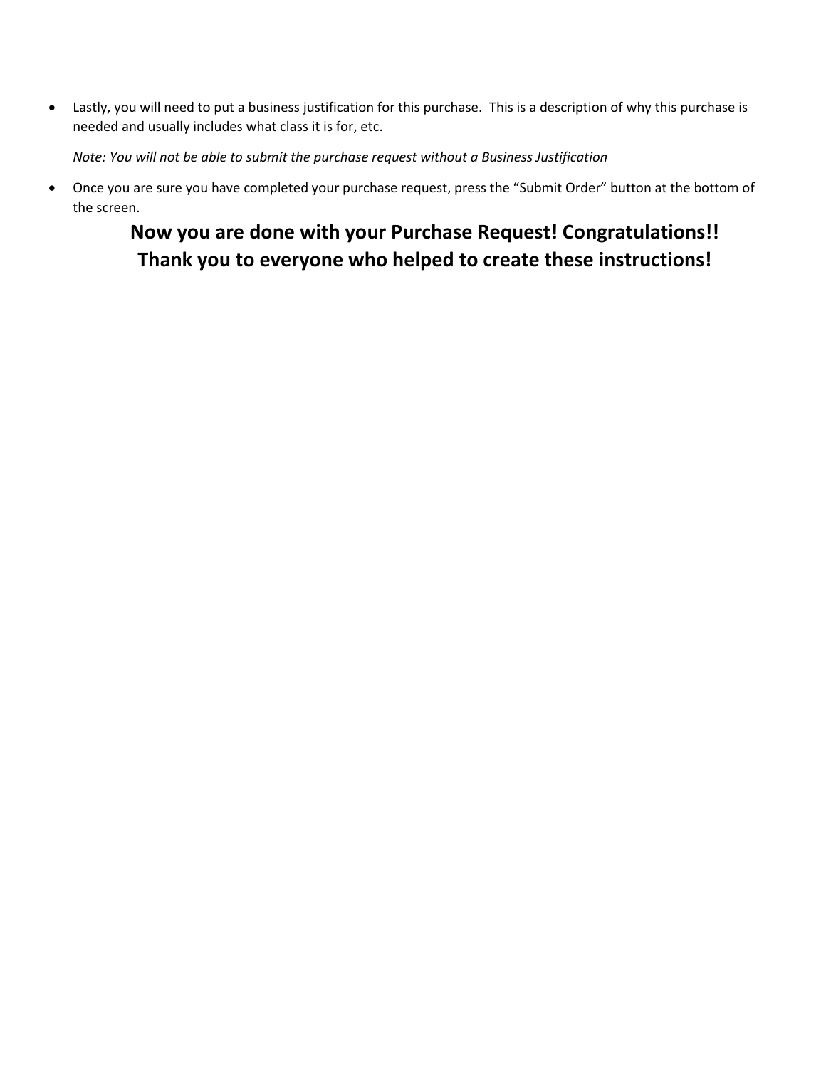• Lastly, you will need to put a business justification for this purchase. This is a description of why this purchase is needed and usually includes what class it is for, etc.

*Note: You will not be able to submit the purchase request without a Business Justification*

• Once you are sure you have completed your purchase request, press the "Submit Order" button at the bottom of the screen.

# **Now you are done with your Purchase Request! Congratulations!! Thank you to everyone who helped to create these instructions!**